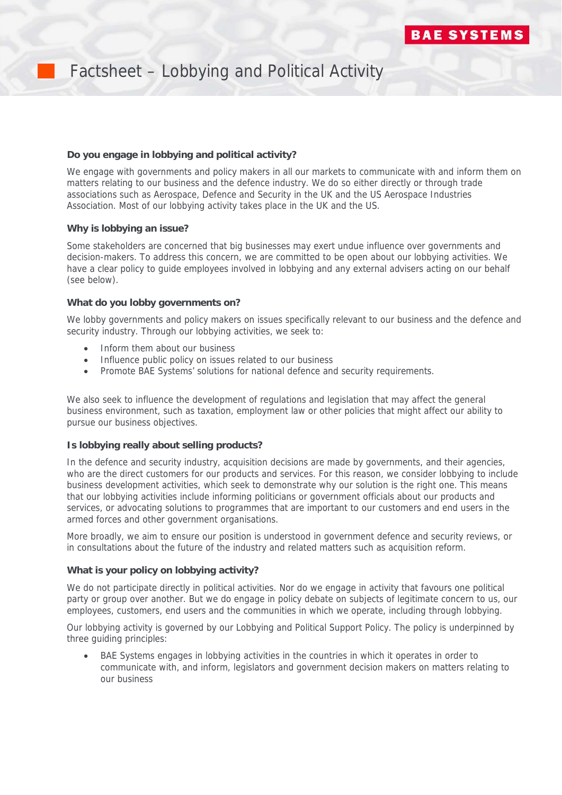

# Factsheet – Lobbying and Political Activity

# **Do you engage in lobbying and political activity?**

We engage with governments and policy makers in all our markets to communicate with and inform them on matters relating to our business and the defence industry. We do so either directly or through trade associations such as Aerospace, Defence and Security in the UK and the US Aerospace Industries Association. Most of our lobbying activity takes place in the UK and the US.

# **Why is lobbying an issue?**

Some stakeholders are concerned that big businesses may exert undue influence over governments and decision-makers. To address this concern, we are committed to be open about our lobbying activities. We have a clear policy to guide employees involved in lobbying and any external advisers acting on our behalf (see below).

#### **What do you lobby governments on?**

We lobby governments and policy makers on issues specifically relevant to our business and the defence and security industry. Through our lobbying activities, we seek to:

- Inform them about our business
- Influence public policy on issues related to our business
- Promote BAE Systems' solutions for national defence and security requirements.

We also seek to influence the development of regulations and legislation that may affect the general business environment, such as taxation, employment law or other policies that might affect our ability to pursue our business objectives.

# **Is lobbying really about selling products?**

In the defence and security industry, acquisition decisions are made by governments, and their agencies, who are the direct customers for our products and services. For this reason, we consider lobbying to include business development activities, which seek to demonstrate why our solution is the right one. This means that our lobbying activities include informing politicians or government officials about our products and services, or advocating solutions to programmes that are important to our customers and end users in the armed forces and other government organisations.

More broadly, we aim to ensure our position is understood in government defence and security reviews, or in consultations about the future of the industry and related matters such as acquisition reform.

#### **What is your policy on lobbying activity?**

We do not participate directly in political activities. Nor do we engage in activity that favours one political party or group over another. But we do engage in policy debate on subjects of legitimate concern to us, our employees, customers, end users and the communities in which we operate, including through lobbying.

Our lobbying activity is governed by our Lobbying and Political Support Policy. The policy is underpinned by three guiding principles:

 BAE Systems engages in lobbying activities in the countries in which it operates in order to communicate with, and inform, legislators and government decision makers on matters relating to our business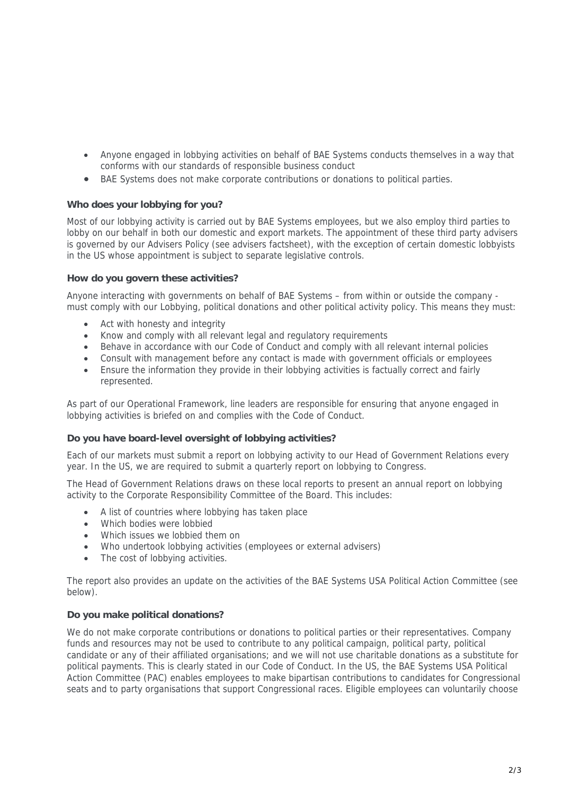- Anyone engaged in lobbying activities on behalf of BAE Systems conducts themselves in a way that conforms with our standards of responsible business conduct
- BAE Systems does not make corporate contributions or donations to political parties.

# **Who does your lobbying for you?**

Most of our lobbying activity is carried out by BAE Systems employees, but we also employ third parties to lobby on our behalf in both our domestic and export markets. The appointment of these third party advisers is governed by our Advisers Policy (see advisers factsheet), with the exception of certain domestic lobbyists in the US whose appointment is subject to separate legislative controls.

# **How do you govern these activities?**

Anyone interacting with governments on behalf of BAE Systems – from within or outside the company must comply with our Lobbying, political donations and other political activity policy. This means they must:

- Act with honesty and integrity
- Know and comply with all relevant legal and regulatory requirements
- Behave in accordance with our Code of Conduct and comply with all relevant internal policies
- Consult with management before any contact is made with government officials or employees
- Ensure the information they provide in their lobbying activities is factually correct and fairly represented.

As part of our Operational Framework, line leaders are responsible for ensuring that anyone engaged in lobbying activities is briefed on and complies with the Code of Conduct.

# **Do you have board-level oversight of lobbying activities?**

Each of our markets must submit a report on lobbying activity to our Head of Government Relations every year. In the US, we are required to submit a quarterly report on lobbying to Congress.

The Head of Government Relations draws on these local reports to present an annual report on lobbying activity to the Corporate Responsibility Committee of the Board. This includes:

- A list of countries where lobbying has taken place
- Which bodies were lobbied
- Which issues we lobbied them on
- Who undertook lobbying activities (employees or external advisers)
- The cost of lobbying activities.

The report also provides an update on the activities of the BAE Systems USA Political Action Committee (see below).

# **Do you make political donations?**

We do not make corporate contributions or donations to political parties or their representatives. Company funds and resources may not be used to contribute to any political campaign, political party, political candidate or any of their affiliated organisations; and we will not use charitable donations as a substitute for political payments. This is clearly stated in our Code of Conduct. In the US, the BAE Systems USA Political Action Committee (PAC) enables employees to make bipartisan contributions to candidates for Congressional seats and to party organisations that support Congressional races. Eligible employees can voluntarily choose